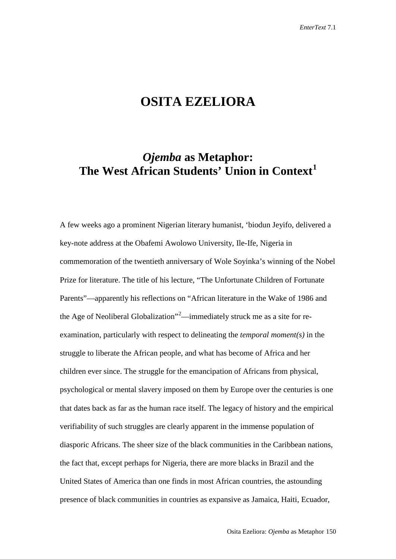## **OSITA EZELIORA**

## *Ojemba* **as Metaphor: The West African Students' Union in Context[1](#page-12-0)**

A few weeks ago a prominent Nigerian literary humanist, 'biodun Jeyifo, delivered a key-note address at the Obafemi Awolowo University, Ile-Ife, Nigeria in commemoration of the twentieth anniversary of Wole Soyinka's winning of the Nobel Prize for literature. The title of his lecture, "The Unfortunate Children of Fortunate Parents"—apparently his reflections on "African literature in the Wake of 1986 and the Age of Neoliberal Globalization"<sup>[2](#page-12-1)</sup>—immediately struck me as a site for reexamination, particularly with respect to delineating the *temporal moment(s)* in the struggle to liberate the African people, and what has become of Africa and her children ever since. The struggle for the emancipation of Africans from physical, psychological or mental slavery imposed on them by Europe over the centuries is one that dates back as far as the human race itself. The legacy of history and the empirical verifiability of such struggles are clearly apparent in the immense population of diasporic Africans. The sheer size of the black communities in the Caribbean nations, the fact that, except perhaps for Nigeria, there are more blacks in Brazil and the United States of America than one finds in most African countries, the astounding presence of black communities in countries as expansive as Jamaica, Haiti, Ecuador,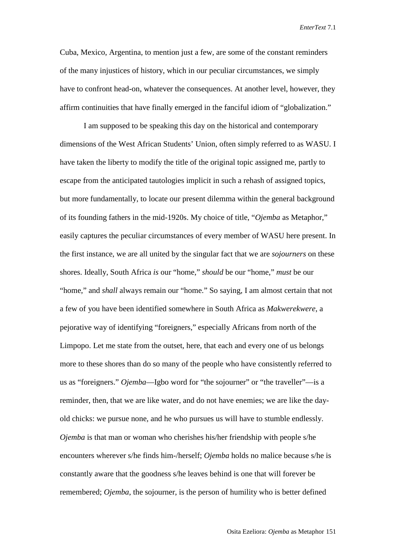Cuba, Mexico, Argentina, to mention just a few, are some of the constant reminders of the many injustices of history, which in our peculiar circumstances, we simply have to confront head-on, whatever the consequences. At another level, however, they affirm continuities that have finally emerged in the fanciful idiom of "globalization."

I am supposed to be speaking this day on the historical and contemporary dimensions of the West African Students' Union, often simply referred to as WASU. I have taken the liberty to modify the title of the original topic assigned me, partly to escape from the anticipated tautologies implicit in such a rehash of assigned topics, but more fundamentally, to locate our present dilemma within the general background of its founding fathers in the mid-1920s. My choice of title, "*Ojemba* as Metaphor," easily captures the peculiar circumstances of every member of WASU here present. In the first instance, we are all united by the singular fact that we are *sojourners* on these shores. Ideally, South Africa *is* our "home," *should* be our "home," *must* be our "home," and *shall* always remain our "home." So saying, I am almost certain that not a few of you have been identified somewhere in South Africa as *Makwerekwere*, a pejorative way of identifying "foreigners," especially Africans from north of the Limpopo. Let me state from the outset, here, that each and every one of us belongs more to these shores than do so many of the people who have consistently referred to us as "foreigners." *Ojemba*—Igbo word for "the sojourner" or "the traveller"—is a reminder, then, that we are like water, and do not have enemies; we are like the dayold chicks: we pursue none, and he who pursues us will have to stumble endlessly. *Ojemba* is that man or woman who cherishes his/her friendship with people s/he encounters wherever s/he finds him-/herself; *Ojemba* holds no malice because s/he is constantly aware that the goodness s/he leaves behind is one that will forever be remembered; *Ojemba*, the sojourner, is the person of humility who is better defined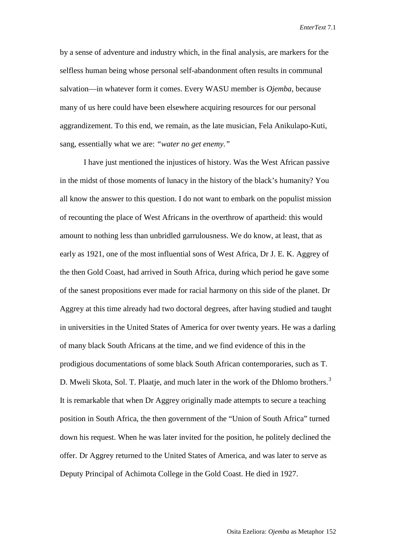by a sense of adventure and industry which, in the final analysis, are markers for the selfless human being whose personal self-abandonment often results in communal salvation—in whatever form it comes. Every WASU member is *Ojemba*, because many of us here could have been elsewhere acquiring resources for our personal aggrandizement. To this end, we remain, as the late musician, Fela Anikulapo-Kuti, sang, essentially what we are: *"water no get enemy."*

I have just mentioned the injustices of history. Was the West African passive in the midst of those moments of lunacy in the history of the black's humanity? You all know the answer to this question. I do not want to embark on the populist mission of recounting the place of West Africans in the overthrow of apartheid: this would amount to nothing less than unbridled garrulousness. We do know, at least, that as early as 1921, one of the most influential sons of West Africa, Dr J. E. K. Aggrey of the then Gold Coast, had arrived in South Africa, during which period he gave some of the sanest propositions ever made for racial harmony on this side of the planet. Dr Aggrey at this time already had two doctoral degrees, after having studied and taught in universities in the United States of America for over twenty years. He was a darling of many black South Africans at the time, and we find evidence of this in the prodigious documentations of some black South African contemporaries, such as T. D. Mweli Skota, Sol. T. Plaatje, and much later in the work of the Dhlomo brothers.<sup>[3](#page-12-2)</sup> It is remarkable that when Dr Aggrey originally made attempts to secure a teaching position in South Africa, the then government of the "Union of South Africa" turned down his request. When he was later invited for the position, he politely declined the offer. Dr Aggrey returned to the United States of America, and was later to serve as Deputy Principal of Achimota College in the Gold Coast. He died in 1927.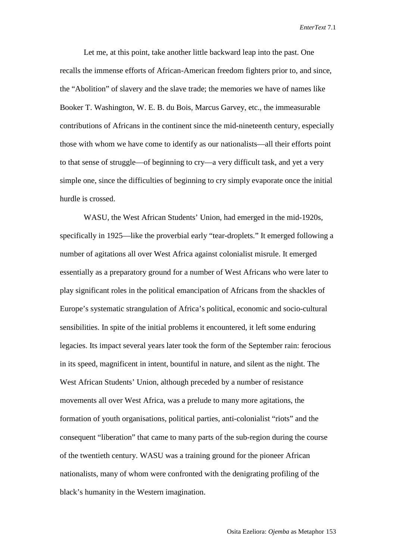Let me, at this point, take another little backward leap into the past. One recalls the immense efforts of African-American freedom fighters prior to, and since, the "Abolition" of slavery and the slave trade; the memories we have of names like Booker T. Washington, W. E. B. du Bois, Marcus Garvey, etc., the immeasurable contributions of Africans in the continent since the mid-nineteenth century, especially those with whom we have come to identify as our nationalists—all their efforts point to that sense of struggle—of beginning to cry—a very difficult task, and yet a very simple one, since the difficulties of beginning to cry simply evaporate once the initial hurdle is crossed.

WASU, the West African Students' Union, had emerged in the mid-1920s, specifically in 1925—like the proverbial early "tear-droplets." It emerged following a number of agitations all over West Africa against colonialist misrule. It emerged essentially as a preparatory ground for a number of West Africans who were later to play significant roles in the political emancipation of Africans from the shackles of Europe's systematic strangulation of Africa's political, economic and socio-cultural sensibilities. In spite of the initial problems it encountered, it left some enduring legacies. Its impact several years later took the form of the September rain: ferocious in its speed, magnificent in intent, bountiful in nature, and silent as the night. The West African Students' Union, although preceded by a number of resistance movements all over West Africa, was a prelude to many more agitations, the formation of youth organisations, political parties, anti-colonialist "riots" and the consequent "liberation" that came to many parts of the sub-region during the course of the twentieth century. WASU was a training ground for the pioneer African nationalists, many of whom were confronted with the denigrating profiling of the black's humanity in the Western imagination.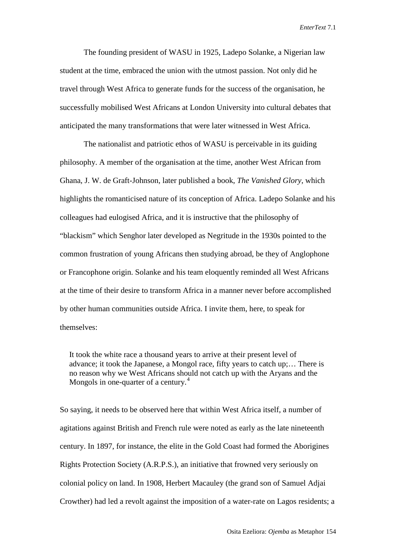The founding president of WASU in 1925, Ladepo Solanke, a Nigerian law student at the time, embraced the union with the utmost passion. Not only did he travel through West Africa to generate funds for the success of the organisation, he successfully mobilised West Africans at London University into cultural debates that anticipated the many transformations that were later witnessed in West Africa.

The nationalist and patriotic ethos of WASU is perceivable in its guiding philosophy. A member of the organisation at the time, another West African from Ghana, J. W. de Graft-Johnson, later published a book, *The Vanished Glory*, which highlights the romanticised nature of its conception of Africa. Ladepo Solanke and his colleagues had eulogised Africa, and it is instructive that the philosophy of "blackism" which Senghor later developed as Negritude in the 1930s pointed to the common frustration of young Africans then studying abroad, be they of Anglophone or Francophone origin. Solanke and his team eloquently reminded all West Africans at the time of their desire to transform Africa in a manner never before accomplished by other human communities outside Africa. I invite them, here, to speak for themselves:

It took the white race a thousand years to arrive at their present level of advance; it took the Japanese, a Mongol race, fifty years to catch up;… There is no reason why we West Africans should not catch up with the Aryans and the Mongols in one-quarter of a century.<sup>[4](#page-12-3)</sup>

So saying, it needs to be observed here that within West Africa itself, a number of agitations against British and French rule were noted as early as the late nineteenth century. In 1897, for instance, the elite in the Gold Coast had formed the Aborigines Rights Protection Society (A.R.P.S.), an initiative that frowned very seriously on colonial policy on land. In 1908, Herbert Macauley (the grand son of Samuel Adjai Crowther) had led a revolt against the imposition of a water-rate on Lagos residents; a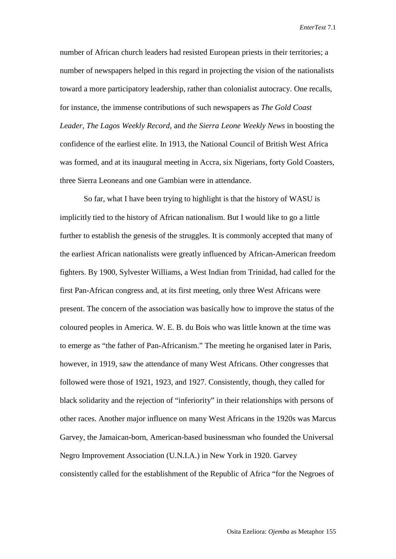number of African church leaders had resisted European priests in their territories; a number of newspapers helped in this regard in projecting the vision of the nationalists toward a more participatory leadership, rather than colonialist autocracy. One recalls, for instance, the immense contributions of such newspapers as *The Gold Coast Leader*, *The Lagos Weekly Record*, and *the Sierra Leone Weekly News* in boosting the confidence of the earliest elite. In 1913, the National Council of British West Africa was formed, and at its inaugural meeting in Accra, six Nigerians, forty Gold Coasters, three Sierra Leoneans and one Gambian were in attendance.

So far, what I have been trying to highlight is that the history of WASU is implicitly tied to the history of African nationalism. But I would like to go a little further to establish the genesis of the struggles. It is commonly accepted that many of the earliest African nationalists were greatly influenced by African-American freedom fighters. By 1900, Sylvester Williams, a West Indian from Trinidad, had called for the first Pan-African congress and, at its first meeting, only three West Africans were present. The concern of the association was basically how to improve the status of the coloured peoples in America. W. E. B. du Bois who was little known at the time was to emerge as "the father of Pan-Africanism." The meeting he organised later in Paris, however, in 1919, saw the attendance of many West Africans. Other congresses that followed were those of 1921, 1923, and 1927. Consistently, though, they called for black solidarity and the rejection of "inferiority" in their relationships with persons of other races. Another major influence on many West Africans in the 1920s was Marcus Garvey, the Jamaican-born, American-based businessman who founded the Universal Negro Improvement Association (U.N.I.A.) in New York in 1920. Garvey consistently called for the establishment of the Republic of Africa "for the Negroes of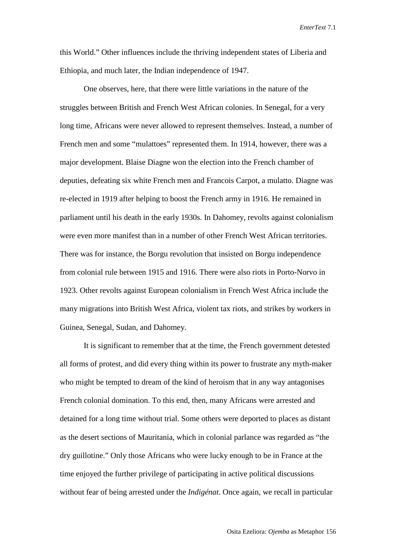this World." Other influences include the thriving independent states of Liberia and Ethiopia, and much later, the Indian independence of 1947.

One observes, here, that there were little variations in the nature of the struggles between British and French West African colonies. In Senegal, for a very long time, Africans were never allowed to represent themselves. Instead, a number of French men and some "mulattoes" represented them. In 1914, however, there was a major development. Blaise Diagne won the election into the French chamber of deputies, defeating six white French men and Francois Carpot, a mulatto. Diagne was re-elected in 1919 after helping to boost the French army in 1916. He remained in parliament until his death in the early 1930s. In Dahomey, revolts against colonialism were even more manifest than in a number of other French West African territories. There was for instance, the Borgu revolution that insisted on Borgu independence from colonial rule between 1915 and 1916. There were also riots in Porto-Norvo in 1923. Other revolts against European colonialism in French West Africa include the many migrations into British West Africa, violent tax riots, and strikes by workers in Guinea, Senegal, Sudan, and Dahomey.

It is significant to remember that at the time, the French government detested all forms of protest, and did every thing within its power to frustrate any myth-maker who might be tempted to dream of the kind of heroism that in any way antagonises French colonial domination. To this end, then, many Africans were arrested and detained for a long time without trial. Some others were deported to places as distant as the desert sections of Mauritania, which in colonial parlance was regarded as "the dry guillotine." Only those Africans who were lucky enough to be in France at the time enjoyed the further privilege of participating in active political discussions without fear of being arrested under the *Indigénat*. Once again, we recall in particular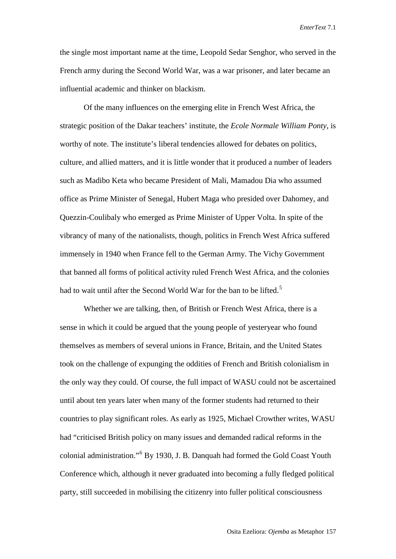the single most important name at the time, Leopold Sedar Senghor, who served in the French army during the Second World War, was a war prisoner, and later became an influential academic and thinker on blackism.

Of the many influences on the emerging elite in French West Africa, the strategic position of the Dakar teachers' institute, the *Ecole Normale William Ponty*, is worthy of note. The institute's liberal tendencies allowed for debates on politics, culture, and allied matters, and it is little wonder that it produced a number of leaders such as Madibo Keta who became President of Mali, Mamadou Dia who assumed office as Prime Minister of Senegal, Hubert Maga who presided over Dahomey, and Quezzin-Coulibaly who emerged as Prime Minister of Upper Volta. In spite of the vibrancy of many of the nationalists, though, politics in French West Africa suffered immensely in 1940 when France fell to the German Army. The Vichy Government that banned all forms of political activity ruled French West Africa, and the colonies had to wait until after the Second World War for the ban to be lifted.<sup>[5](#page-12-4)</sup>

Whether we are talking, then, of British or French West Africa, there is a sense in which it could be argued that the young people of yesteryear who found themselves as members of several unions in France, Britain, and the United States took on the challenge of expunging the oddities of French and British colonialism in the only way they could. Of course, the full impact of WASU could not be ascertained until about ten years later when many of the former students had returned to their countries to play significant roles. As early as 1925, Michael Crowther writes, WASU had "criticised British policy on many issues and demanded radical reforms in the colonial administration."[6](#page-12-5) By 1930, J. B. Danquah had formed the Gold Coast Youth Conference which, although it never graduated into becoming a fully fledged political party, still succeeded in mobilising the citizenry into fuller political consciousness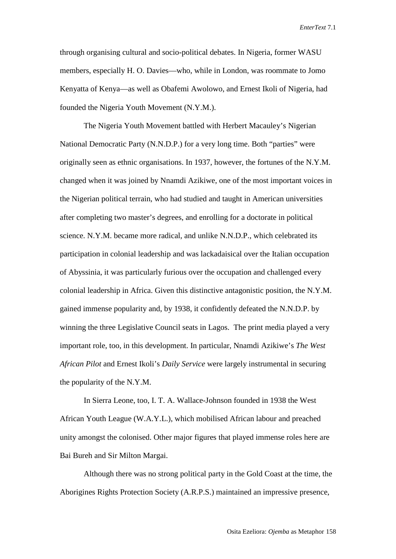through organising cultural and socio-political debates. In Nigeria, former WASU members, especially H. O. Davies—who, while in London, was roommate to Jomo Kenyatta of Kenya—as well as Obafemi Awolowo, and Ernest Ikoli of Nigeria, had founded the Nigeria Youth Movement (N.Y.M.).

The Nigeria Youth Movement battled with Herbert Macauley's Nigerian National Democratic Party (N.N.D.P.) for a very long time. Both "parties" were originally seen as ethnic organisations. In 1937, however, the fortunes of the N.Y.M. changed when it was joined by Nnamdi Azikiwe, one of the most important voices in the Nigerian political terrain, who had studied and taught in American universities after completing two master's degrees, and enrolling for a doctorate in political science. N.Y.M. became more radical, and unlike N.N.D.P., which celebrated its participation in colonial leadership and was lackadaisical over the Italian occupation of Abyssinia, it was particularly furious over the occupation and challenged every colonial leadership in Africa. Given this distinctive antagonistic position, the N.Y.M. gained immense popularity and, by 1938, it confidently defeated the N.N.D.P. by winning the three Legislative Council seats in Lagos. The print media played a very important role, too, in this development. In particular, Nnamdi Azikiwe's *The West African Pilot* and Ernest Ikoli's *Daily Service* were largely instrumental in securing the popularity of the N.Y.M.

In Sierra Leone, too, I. T. A. Wallace-Johnson founded in 1938 the West African Youth League (W.A.Y.L.), which mobilised African labour and preached unity amongst the colonised. Other major figures that played immense roles here are Bai Bureh and Sir Milton Margai.

Although there was no strong political party in the Gold Coast at the time, the Aborigines Rights Protection Society (A.R.P.S.) maintained an impressive presence,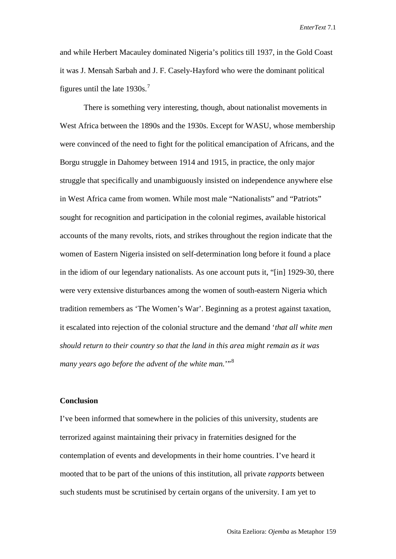and while Herbert Macauley dominated Nigeria's politics till 1937, in the Gold Coast it was J. Mensah Sarbah and J. F. Casely-Hayford who were the dominant political figures until the late  $1930s$ .<sup>[7](#page-12-6)</sup>

There is something very interesting, though, about nationalist movements in West Africa between the 1890s and the 1930s. Except for WASU, whose membership were convinced of the need to fight for the political emancipation of Africans, and the Borgu struggle in Dahomey between 1914 and 1915, in practice, the only major struggle that specifically and unambiguously insisted on independence anywhere else in West Africa came from women. While most male "Nationalists" and "Patriots" sought for recognition and participation in the colonial regimes, available historical accounts of the many revolts, riots, and strikes throughout the region indicate that the women of Eastern Nigeria insisted on self-determination long before it found a place in the idiom of our legendary nationalists. As one account puts it, "[in] 1929-30, there were very extensive disturbances among the women of south-eastern Nigeria which tradition remembers as 'The Women's War'. Beginning as a protest against taxation, it escalated into rejection of the colonial structure and the demand '*that all white men should return to their country so that the land in this area might remain as it was*  many years ago before the advent of the white man."<sup>[8](#page-12-7)</sup>

## **Conclusion**

I've been informed that somewhere in the policies of this university, students are terrorized against maintaining their privacy in fraternities designed for the contemplation of events and developments in their home countries. I've heard it mooted that to be part of the unions of this institution, all private *rapports* between such students must be scrutinised by certain organs of the university. I am yet to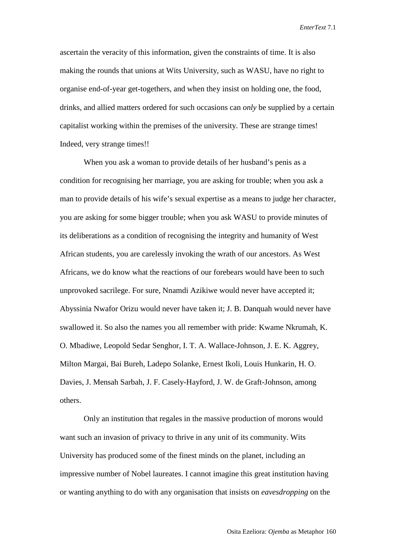ascertain the veracity of this information, given the constraints of time. It is also making the rounds that unions at Wits University, such as WASU, have no right to organise end-of-year get-togethers, and when they insist on holding one, the food, drinks, and allied matters ordered for such occasions can *only* be supplied by a certain capitalist working within the premises of the university. These are strange times! Indeed, very strange times!!

When you ask a woman to provide details of her husband's penis as a condition for recognising her marriage, you are asking for trouble; when you ask a man to provide details of his wife's sexual expertise as a means to judge her character, you are asking for some bigger trouble; when you ask WASU to provide minutes of its deliberations as a condition of recognising the integrity and humanity of West African students, you are carelessly invoking the wrath of our ancestors. As West Africans, we do know what the reactions of our forebears would have been to such unprovoked sacrilege. For sure, Nnamdi Azikiwe would never have accepted it; Abyssinia Nwafor Orizu would never have taken it; J. B. Danquah would never have swallowed it. So also the names you all remember with pride: Kwame Nkrumah, K. O. Mbadiwe, Leopold Sedar Senghor, I. T. A. Wallace-Johnson, J. E. K. Aggrey, Milton Margai, Bai Bureh, Ladepo Solanke, Ernest Ikoli, Louis Hunkarin, H. O. Davies, J. Mensah Sarbah, J. F. Casely-Hayford, J. W. de Graft-Johnson, among others.

Only an institution that regales in the massive production of morons would want such an invasion of privacy to thrive in any unit of its community. Wits University has produced some of the finest minds on the planet, including an impressive number of Nobel laureates. I cannot imagine this great institution having or wanting anything to do with any organisation that insists on *eavesdropping* on the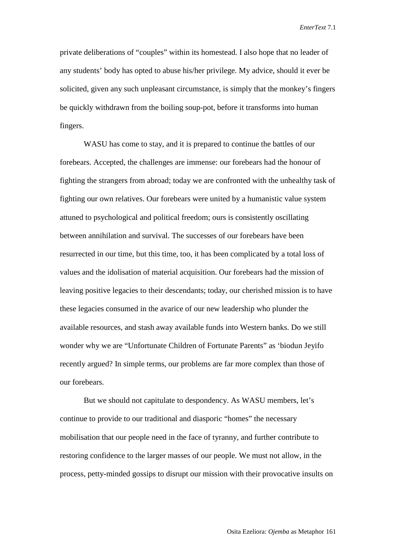private deliberations of "couples" within its homestead. I also hope that no leader of any students' body has opted to abuse his/her privilege. My advice, should it ever be solicited, given any such unpleasant circumstance, is simply that the monkey's fingers be quickly withdrawn from the boiling soup-pot, before it transforms into human fingers.

WASU has come to stay, and it is prepared to continue the battles of our forebears. Accepted, the challenges are immense: our forebears had the honour of fighting the strangers from abroad; today we are confronted with the unhealthy task of fighting our own relatives. Our forebears were united by a humanistic value system attuned to psychological and political freedom; ours is consistently oscillating between annihilation and survival. The successes of our forebears have been resurrected in our time, but this time, too, it has been complicated by a total loss of values and the idolisation of material acquisition. Our forebears had the mission of leaving positive legacies to their descendants; today, our cherished mission is to have these legacies consumed in the avarice of our new leadership who plunder the available resources, and stash away available funds into Western banks. Do we still wonder why we are "Unfortunate Children of Fortunate Parents" as 'biodun Jeyifo recently argued? In simple terms, our problems are far more complex than those of our forebears.

But we should not capitulate to despondency. As WASU members, let's continue to provide to our traditional and diasporic "homes" the necessary mobilisation that our people need in the face of tyranny, and further contribute to restoring confidence to the larger masses of our people. We must not allow, in the process, petty-minded gossips to disrupt our mission with their provocative insults on

Osita Ezeliora: *Ojemba* as Metaphor 161